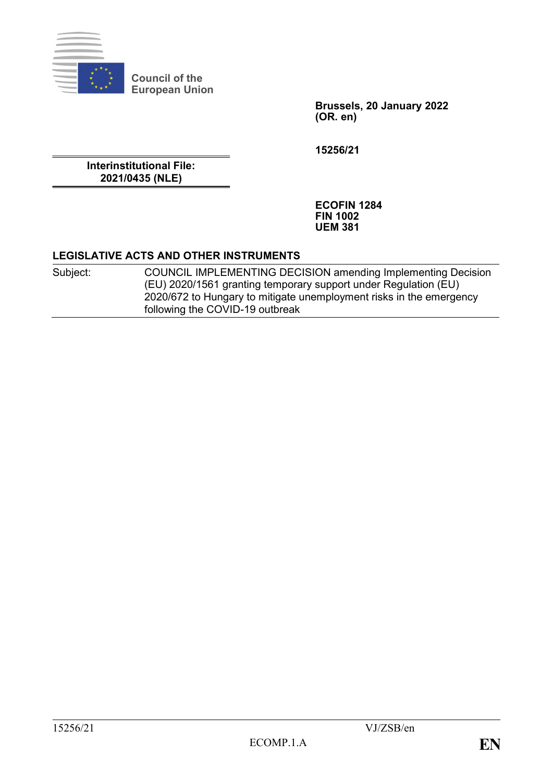

**Council of the European Union**

> **Brussels, 20 January 2022 (OR. en)**

**15256/21**

**Interinstitutional File: 2021/0435 (NLE)**

> **ECOFIN 1284 FIN 1002 UEM 381**

#### **LEGISLATIVE ACTS AND OTHER INSTRUMENTS**

Subject: COUNCIL IMPLEMENTING DECISION amending Implementing Decision (EU) 2020/1561 granting temporary support under Regulation (EU) 2020/672 to Hungary to mitigate unemployment risks in the emergency following the COVID-19 outbreak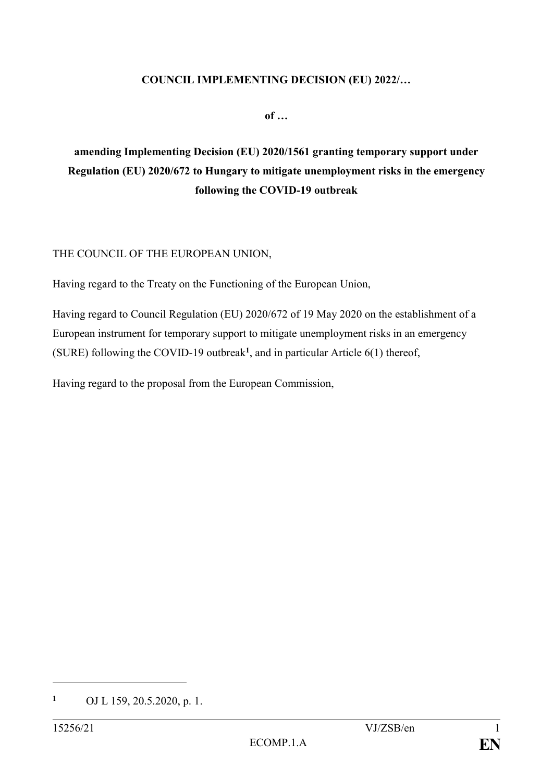#### **COUNCIL IMPLEMENTING DECISION (EU) 2022/…**

**of …**

# **amending Implementing Decision (EU) 2020/1561 granting temporary support under Regulation (EU) 2020/672 to Hungary to mitigate unemployment risks in the emergency following the COVID-19 outbreak**

## THE COUNCIL OF THE EUROPEAN UNION,

Having regard to the Treaty on the Functioning of the European Union,

Having regard to Council Regulation (EU) 2020/672 of 19 May 2020 on the establishment of a European instrument for temporary support to mitigate unemployment risks in an emergency (SURE) following the COVID-19 outbreak**<sup>1</sup>** , and in particular Article 6(1) thereof,

Having regard to the proposal from the European Commission,

**<sup>1</sup>** OJ L 159, 20.5.2020, p. 1.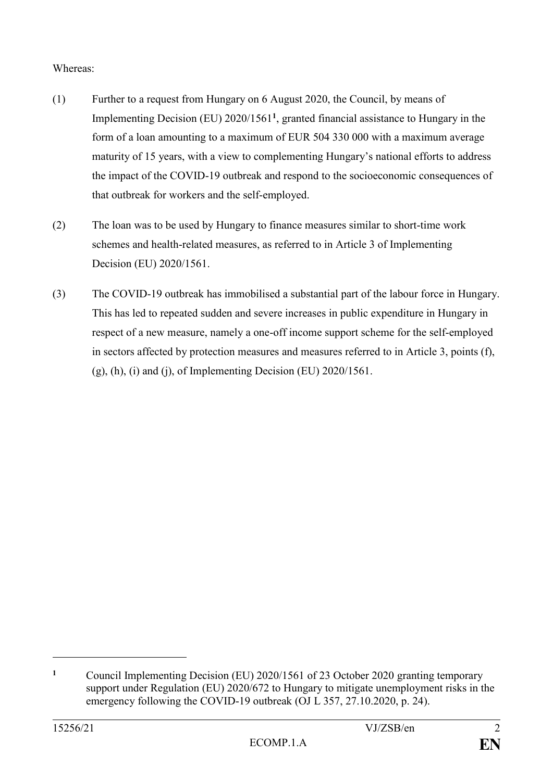## Whereas:

- (1) Further to a request from Hungary on 6 August 2020, the Council, by means of Implementing Decision (EU) 2020/1561**<sup>1</sup>** , granted financial assistance to Hungary in the form of a loan amounting to a maximum of EUR 504 330 000 with a maximum average maturity of 15 years, with a view to complementing Hungary's national efforts to address the impact of the COVID-19 outbreak and respond to the socioeconomic consequences of that outbreak for workers and the self-employed.
- (2) The loan was to be used by Hungary to finance measures similar to short-time work schemes and health-related measures, as referred to in Article 3 of Implementing Decision (EU) 2020/1561.
- (3) The COVID-19 outbreak has immobilised a substantial part of the labour force in Hungary. This has led to repeated sudden and severe increases in public expenditure in Hungary in respect of a new measure, namely a one-off income support scheme for the self-employed in sectors affected by protection measures and measures referred to in Article 3, points (f),  $(g)$ , (h), (i) and (j), of Implementing Decision (EU) 2020/1561.

**<sup>1</sup>** Council Implementing Decision (EU) 2020/1561 of 23 October 2020 granting temporary support under Regulation (EU) 2020/672 to Hungary to mitigate unemployment risks in the emergency following the COVID-19 outbreak (OJ L 357, 27.10.2020, p. 24).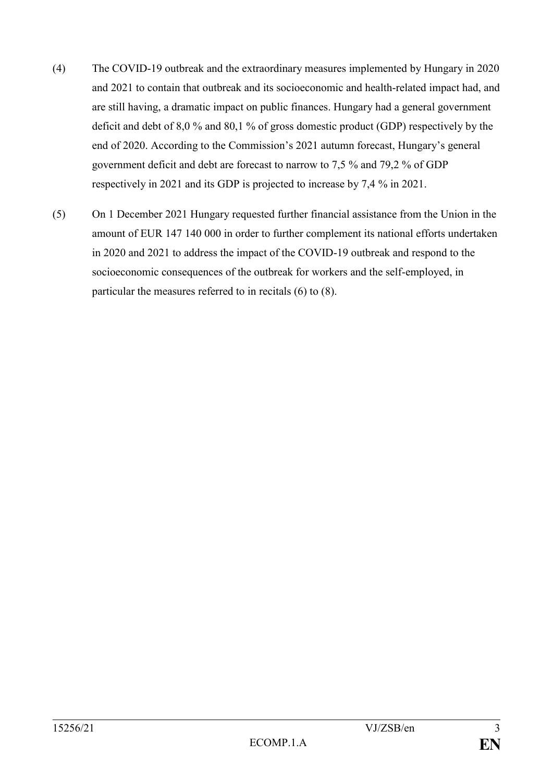- (4) The COVID-19 outbreak and the extraordinary measures implemented by Hungary in 2020 and 2021 to contain that outbreak and its socioeconomic and health-related impact had, and are still having, a dramatic impact on public finances. Hungary had a general government deficit and debt of 8,0 % and 80,1 % of gross domestic product (GDP) respectively by the end of 2020. According to the Commission's 2021 autumn forecast, Hungary's general government deficit and debt are forecast to narrow to 7,5 % and 79,2 % of GDP respectively in 2021 and its GDP is projected to increase by 7,4 % in 2021.
- (5) On 1 December 2021 Hungary requested further financial assistance from the Union in the amount of EUR 147 140 000 in order to further complement its national efforts undertaken in 2020 and 2021 to address the impact of the COVID-19 outbreak and respond to the socioeconomic consequences of the outbreak for workers and the self-employed, in particular the measures referred to in recitals (6) to (8).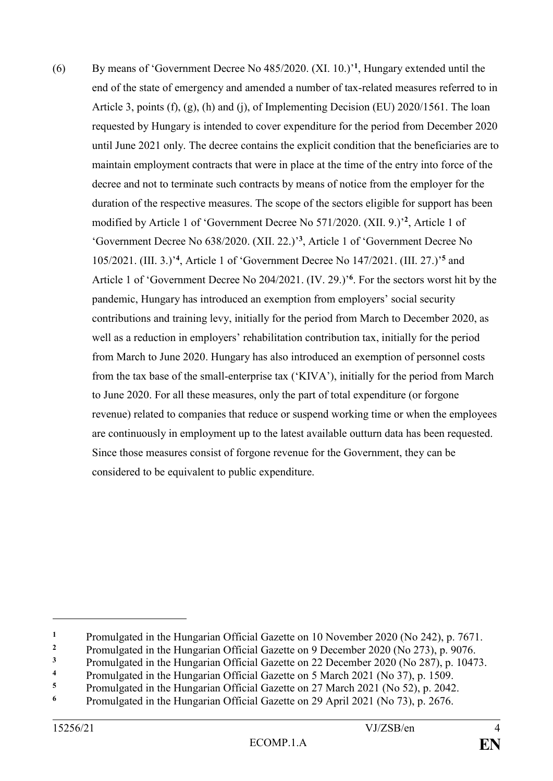(6) By means of 'Government Decree No 485/2020. (XI. 10.)' **1** , Hungary extended until the end of the state of emergency and amended a number of tax-related measures referred to in Article 3, points (f), (g), (h) and (j), of Implementing Decision (EU) 2020/1561. The loan requested by Hungary is intended to cover expenditure for the period from December 2020 until June 2021 only. The decree contains the explicit condition that the beneficiaries are to maintain employment contracts that were in place at the time of the entry into force of the decree and not to terminate such contracts by means of notice from the employer for the duration of the respective measures. The scope of the sectors eligible for support has been modified by Article 1 of 'Government Decree No 571/2020. (XII. 9.)<sup>2</sup>, Article 1 of 'Government Decree No 638/2020. (XII. 22.)' **3** , Article 1 of 'Government Decree No 105/2021. (III. 3.)' **4** , Article 1 of 'Government Decree No 147/2021. (III. 27.)' **<sup>5</sup>** and Article 1 of 'Government Decree No 204/2021. (IV. 29.)<sup>'6</sup>. For the sectors worst hit by the pandemic, Hungary has introduced an exemption from employers' social security contributions and training levy, initially for the period from March to December 2020, as well as a reduction in employers' rehabilitation contribution tax, initially for the period from March to June 2020. Hungary has also introduced an exemption of personnel costs from the tax base of the small-enterprise tax ('KIVA'), initially for the period from March to June 2020. For all these measures, only the part of total expenditure (or forgone revenue) related to companies that reduce or suspend working time or when the employees are continuously in employment up to the latest available outturn data has been requested. Since those measures consist of forgone revenue for the Government, they can be considered to be equivalent to public expenditure.

<sup>&</sup>lt;sup>1</sup> Promulgated in the Hungarian Official Gazette on 10 November 2020 (No 242), p. 7671.

Promulgated in the Hungarian Official Gazette on 9 December 2020 (No 273), p. 9076.<br>Promulgated in the Hungarian Official Gazette on 22 December 2020 (No 287), p. 1047

<sup>&</sup>lt;sup>3</sup> Promulgated in the Hungarian Official Gazette on 22 December 2020 (No 287), p. 10473.

**<sup>4</sup>** Promulgated in the Hungarian Official Gazette on 5 March 2021 (No 37), p. 1509.<br>**14** Promulgated in the Hungarian Official Gazette on 27 March 2021 (No 52), p. 2042

<sup>&</sup>lt;sup>5</sup> Promulgated in the Hungarian Official Gazette on 27 March 2021 (No 52), p. 2042.<br>**Examples** Promulgated in the Unggraving Official Gazette on 20 April 2021 (No 73), p. 2676.

**<sup>6</sup>** Promulgated in the Hungarian Official Gazette on 29 April 2021 (No 73), p. 2676.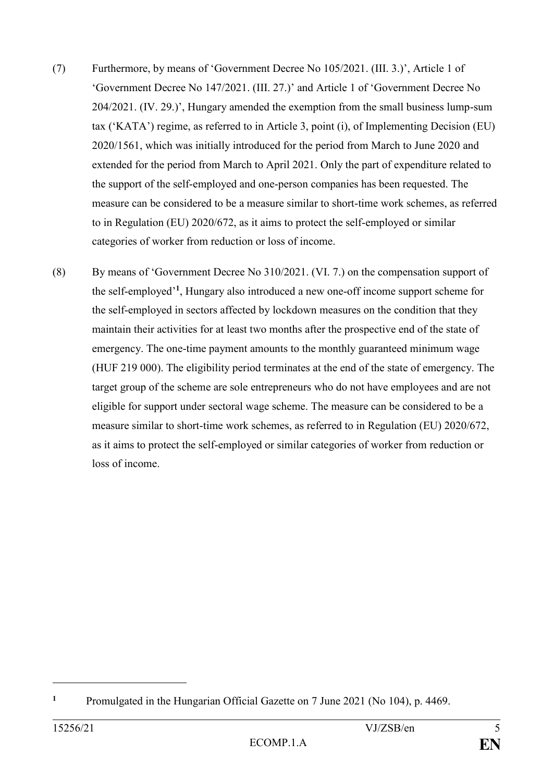- (7) Furthermore, by means of 'Government Decree No 105/2021. (III. 3.)', Article 1 of 'Government Decree No 147/2021. (III. 27.)' and Article 1 of 'Government Decree No 204/2021. (IV. 29.)', Hungary amended the exemption from the small business lump-sum tax ('KATA') regime, as referred to in Article 3, point (i), of Implementing Decision (EU) 2020/1561, which was initially introduced for the period from March to June 2020 and extended for the period from March to April 2021. Only the part of expenditure related to the support of the self-employed and one-person companies has been requested. The measure can be considered to be a measure similar to short-time work schemes, as referred to in Regulation (EU) 2020/672, as it aims to protect the self-employed or similar categories of worker from reduction or loss of income.
- (8) By means of 'Government Decree No 310/2021. (VI. 7.) on the compensation support of the self-employed' **1** , Hungary also introduced a new one-off income support scheme for the self-employed in sectors affected by lockdown measures on the condition that they maintain their activities for at least two months after the prospective end of the state of emergency. The one-time payment amounts to the monthly guaranteed minimum wage (HUF 219 000). The eligibility period terminates at the end of the state of emergency. The target group of the scheme are sole entrepreneurs who do not have employees and are not eligible for support under sectoral wage scheme. The measure can be considered to be a measure similar to short-time work schemes, as referred to in Regulation (EU) 2020/672, as it aims to protect the self-employed or similar categories of worker from reduction or loss of income.

**<sup>1</sup>** Promulgated in the Hungarian Official Gazette on 7 June 2021 (No 104), p. 4469.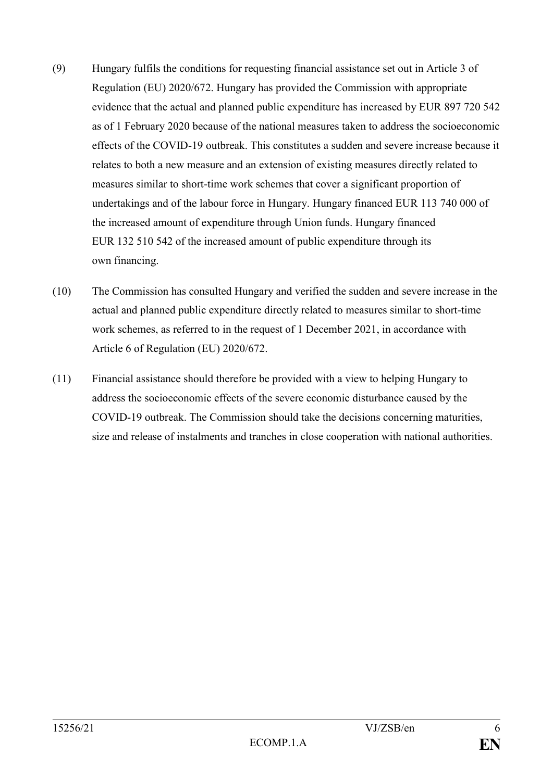- (9) Hungary fulfils the conditions for requesting financial assistance set out in Article 3 of Regulation (EU) 2020/672. Hungary has provided the Commission with appropriate evidence that the actual and planned public expenditure has increased by EUR 897 720 542 as of 1 February 2020 because of the national measures taken to address the socioeconomic effects of the COVID-19 outbreak. This constitutes a sudden and severe increase because it relates to both a new measure and an extension of existing measures directly related to measures similar to short-time work schemes that cover a significant proportion of undertakings and of the labour force in Hungary. Hungary financed EUR 113 740 000 of the increased amount of expenditure through Union funds. Hungary financed EUR 132 510 542 of the increased amount of public expenditure through its own financing.
- (10) The Commission has consulted Hungary and verified the sudden and severe increase in the actual and planned public expenditure directly related to measures similar to short-time work schemes, as referred to in the request of 1 December 2021, in accordance with Article 6 of Regulation (EU) 2020/672.
- (11) Financial assistance should therefore be provided with a view to helping Hungary to address the socioeconomic effects of the severe economic disturbance caused by the COVID-19 outbreak. The Commission should take the decisions concerning maturities, size and release of instalments and tranches in close cooperation with national authorities.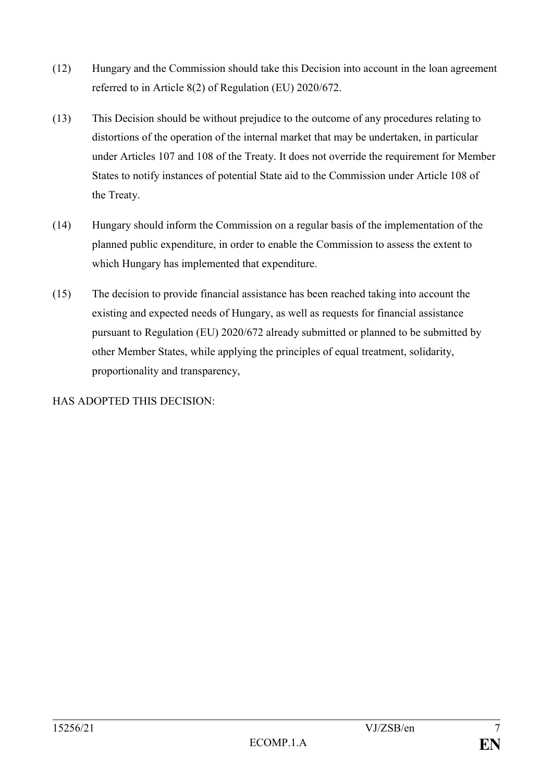- (12) Hungary and the Commission should take this Decision into account in the loan agreement referred to in Article 8(2) of Regulation (EU) 2020/672.
- (13) This Decision should be without prejudice to the outcome of any procedures relating to distortions of the operation of the internal market that may be undertaken, in particular under Articles 107 and 108 of the Treaty. It does not override the requirement for Member States to notify instances of potential State aid to the Commission under Article 108 of the Treaty.
- (14) Hungary should inform the Commission on a regular basis of the implementation of the planned public expenditure, in order to enable the Commission to assess the extent to which Hungary has implemented that expenditure.
- (15) The decision to provide financial assistance has been reached taking into account the existing and expected needs of Hungary, as well as requests for financial assistance pursuant to Regulation (EU) 2020/672 already submitted or planned to be submitted by other Member States, while applying the principles of equal treatment, solidarity, proportionality and transparency,

HAS ADOPTED THIS DECISION: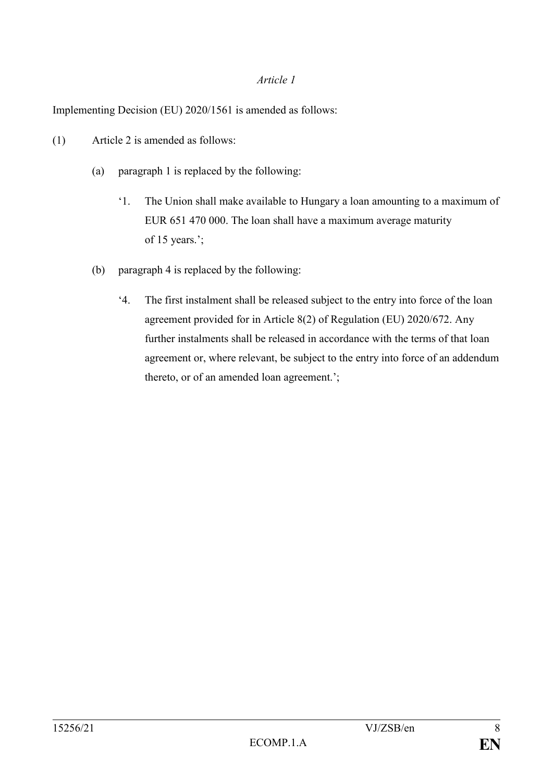### *Article 1*

Implementing Decision (EU) 2020/1561 is amended as follows:

- (1) Article 2 is amended as follows:
	- (a) paragraph 1 is replaced by the following:
		- '1. The Union shall make available to Hungary a loan amounting to a maximum of EUR 651 470 000. The loan shall have a maximum average maturity of 15 years.';
	- (b) paragraph 4 is replaced by the following:
		- '4. The first instalment shall be released subject to the entry into force of the loan agreement provided for in Article 8(2) of Regulation (EU) 2020/672. Any further instalments shall be released in accordance with the terms of that loan agreement or, where relevant, be subject to the entry into force of an addendum thereto, or of an amended loan agreement.';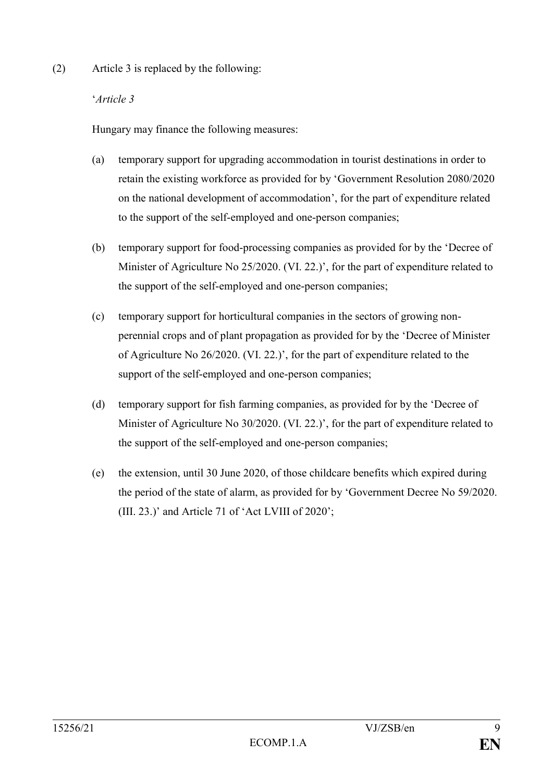(2) Article 3 is replaced by the following:

## '*Article 3*

Hungary may finance the following measures:

- (a) temporary support for upgrading accommodation in tourist destinations in order to retain the existing workforce as provided for by 'Government Resolution 2080/2020 on the national development of accommodation', for the part of expenditure related to the support of the self-employed and one-person companies;
- (b) temporary support for food-processing companies as provided for by the 'Decree of Minister of Agriculture No 25/2020. (VI. 22.)', for the part of expenditure related to the support of the self-employed and one-person companies;
- (c) temporary support for horticultural companies in the sectors of growing nonperennial crops and of plant propagation as provided for by the 'Decree of Minister of Agriculture No 26/2020. (VI. 22.)', for the part of expenditure related to the support of the self-employed and one-person companies;
- (d) temporary support for fish farming companies, as provided for by the 'Decree of Minister of Agriculture No 30/2020. (VI. 22.)', for the part of expenditure related to the support of the self-employed and one-person companies;
- (e) the extension, until 30 June 2020, of those childcare benefits which expired during the period of the state of alarm, as provided for by 'Government Decree No 59/2020. (III. 23.)' and Article 71 of 'Act LVIII of 2020';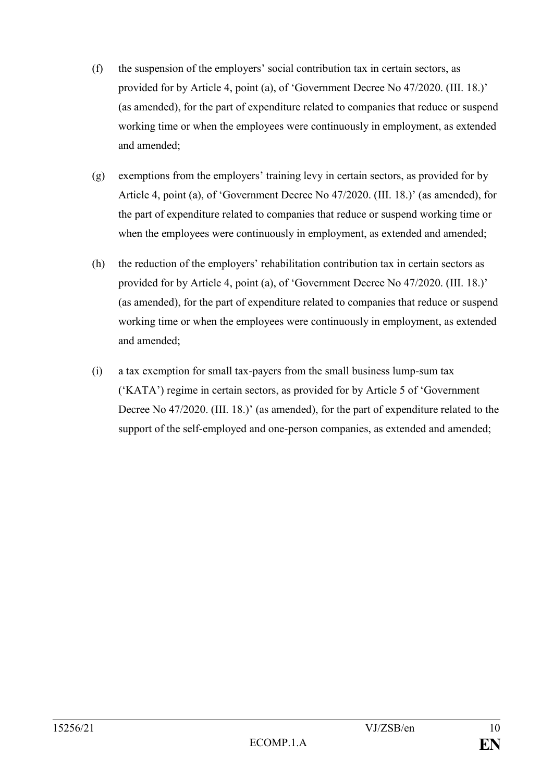- (f) the suspension of the employers' social contribution tax in certain sectors, as provided for by Article 4, point (a), of 'Government Decree No 47/2020. (III. 18.)' (as amended), for the part of expenditure related to companies that reduce or suspend working time or when the employees were continuously in employment, as extended and amended;
- (g) exemptions from the employers' training levy in certain sectors, as provided for by Article 4, point (a), of 'Government Decree No 47/2020. (III. 18.)' (as amended), for the part of expenditure related to companies that reduce or suspend working time or when the employees were continuously in employment, as extended and amended;
- (h) the reduction of the employers' rehabilitation contribution tax in certain sectors as provided for by Article 4, point (a), of 'Government Decree No 47/2020. (III. 18.)' (as amended), for the part of expenditure related to companies that reduce or suspend working time or when the employees were continuously in employment, as extended and amended;
- (i) a tax exemption for small tax-payers from the small business lump-sum tax ('KATA') regime in certain sectors, as provided for by Article 5 of 'Government Decree No 47/2020. (III. 18.)' (as amended), for the part of expenditure related to the support of the self-employed and one-person companies, as extended and amended;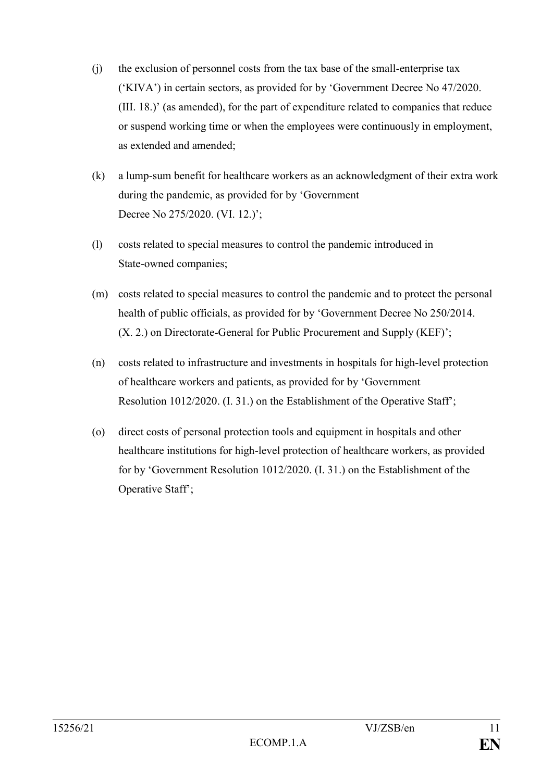- (j) the exclusion of personnel costs from the tax base of the small-enterprise tax ('KIVA') in certain sectors, as provided for by 'Government Decree No 47/2020. (III. 18.)' (as amended), for the part of expenditure related to companies that reduce or suspend working time or when the employees were continuously in employment, as extended and amended;
- (k) a lump-sum benefit for healthcare workers as an acknowledgment of their extra work during the pandemic, as provided for by 'Government Decree No 275/2020. (VI. 12.)';
- (l) costs related to special measures to control the pandemic introduced in State-owned companies;
- (m) costs related to special measures to control the pandemic and to protect the personal health of public officials, as provided for by 'Government Decree No 250/2014. (X. 2.) on Directorate-General for Public Procurement and Supply (KEF)';
- (n) costs related to infrastructure and investments in hospitals for high-level protection of healthcare workers and patients, as provided for by 'Government Resolution 1012/2020. (I. 31.) on the Establishment of the Operative Staff';
- (o) direct costs of personal protection tools and equipment in hospitals and other healthcare institutions for high-level protection of healthcare workers, as provided for by 'Government Resolution 1012/2020. (I. 31.) on the Establishment of the Operative Staff';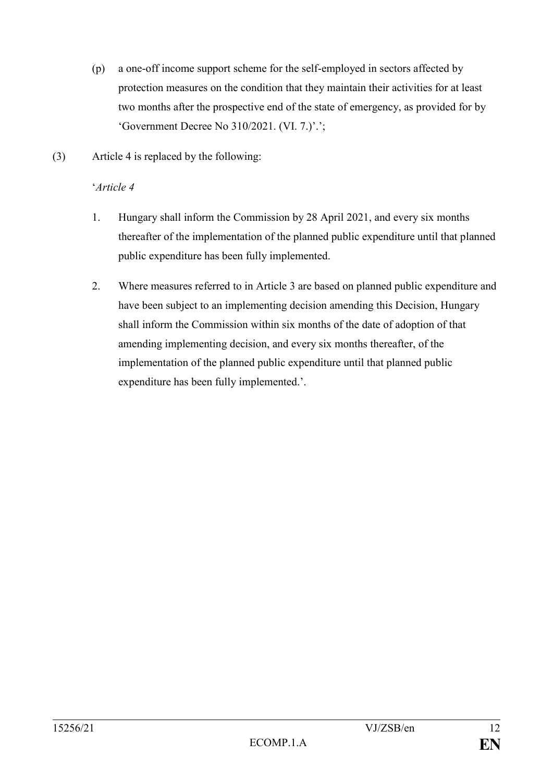- (p) a one-off income support scheme for the self-employed in sectors affected by protection measures on the condition that they maintain their activities for at least two months after the prospective end of the state of emergency, as provided for by 'Government Decree No 310/2021. (VI. 7.)'.';
- (3) Article 4 is replaced by the following:

### '*Article 4*

- 1. Hungary shall inform the Commission by 28 April 2021, and every six months thereafter of the implementation of the planned public expenditure until that planned public expenditure has been fully implemented.
- 2. Where measures referred to in Article 3 are based on planned public expenditure and have been subject to an implementing decision amending this Decision, Hungary shall inform the Commission within six months of the date of adoption of that amending implementing decision, and every six months thereafter, of the implementation of the planned public expenditure until that planned public expenditure has been fully implemented.'.